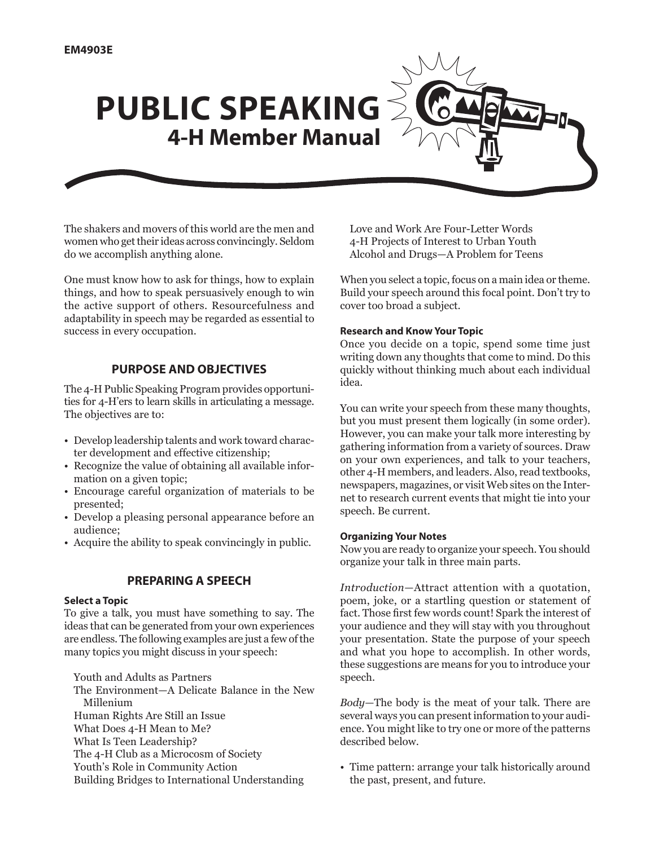# **PUBLIC SPEAKING 4-H Member Manual**

The shakers and movers of this world are the men and women who get their ideas across convincingly. Seldom do we accomplish anything alone.

One must know how to ask for things, how to explain things, and how to speak persuasively enough to win the active support of others. Resourcefulness and adaptability in speech may be regarded as essential to success in every occupation.

## **Purpose and Objectives**

The 4-H Public Speaking Program provides opportunities for 4-H'ers to learn skills in articulating a message. The objectives are to:

- Develop leadership talents and work toward character development and effective citizenship;
- Recognize the value of obtaining all available information on a given topic;
- Encourage careful organization of materials to be presented;
- Develop a pleasing personal appearance before an audience;
- Acquire the ability to speak convincingly in public.

#### **Preparing a Speech**

#### **Select a Topic**

To give a talk, you must have something to say. The ideas that can be generated from your own experiences are endless. The following examples are just a few of the many topics you might discuss in your speech:

Youth and Adults as Partners

The Environment—A Delicate Balance in the New Millenium Human Rights Are Still an Issue What Does 4-H Mean to Me? What Is Teen Leadership?

- 
- The 4-H Club as a Microcosm of Society

Youth's Role in Community Action

Building Bridges to International Understanding

Love and Work Are Four-Letter Words 4-H Projects of Interest to Urban Youth Alcohol and Drugs—A Problem for Teens

When you select a topic, focus on a main idea or theme. Build your speech around this focal point. Don't try to cover too broad a subject.

#### **Research and Know Your Topic**

Once you decide on a topic, spend some time just writing down any thoughts that come to mind. Do this quickly without thinking much about each individual idea.

You can write your speech from these many thoughts, but you must present them logically (in some order). However, you can make your talk more interesting by gathering information from a variety of sources. Draw on your own experiences, and talk to your teachers, other 4-H members, and leaders. Also, read textbooks, newspapers, magazines, or visit Web sites on the Internet to research current events that might tie into your speech. Be current.

#### **Organizing Your Notes**

Now you are ready to organize your speech. You should organize your talk in three main parts.

*Introduction*—Attract attention with a quotation, poem, joke, or a startling question or statement of fact. Those first few words count! Spark the interest of your audience and they will stay with you throughout your presentation. State the purpose of your speech and what you hope to accomplish. In other words, these suggestions are means for you to introduce your speech.

*Body*—The body is the meat of your talk. There are several ways you can present information to your audience. You might like to try one or more of the patterns described below.

• Time pattern: arrange your talk historically around the past, present, and future.

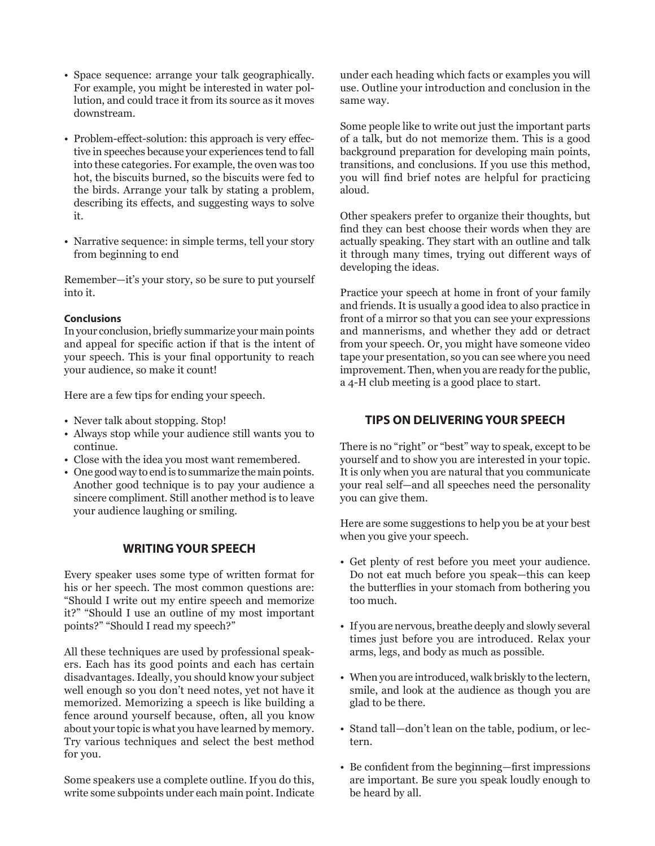- Space sequence: arrange your talk geographically. For example, you might be interested in water pollution, and could trace it from its source as it moves downstream.
- Problem-effect-solution: this approach is very effective in speeches because your experiences tend to fall into these categories. For example, the oven was too hot, the biscuits burned, so the biscuits were fed to the birds. Arrange your talk by stating a problem, describing its effects, and suggesting ways to solve it.
- Narrative sequence: in simple terms, tell your story from beginning to end

Remember—it's your story, so be sure to put yourself into it.

#### **Conclusions**

In your conclusion, briefly summarize your main points and appeal for specific action if that is the intent of your speech. This is your final opportunity to reach your audience, so make it count!

Here are a few tips for ending your speech.

- Never talk about stopping. Stop!
- Always stop while your audience still wants you to continue.
- Close with the idea you most want remembered.
- One good way to end is to summarize the main points. Another good technique is to pay your audience a sincere compliment. Still another method is to leave your audience laughing or smiling.

# **Writing Your Speech**

Every speaker uses some type of written format for his or her speech. The most common questions are: "Should I write out my entire speech and memorize it?" "Should I use an outline of my most important points?" "Should I read my speech?"

All these techniques are used by professional speakers. Each has its good points and each has certain disadvantages. Ideally, you should know your subject well enough so you don't need notes, yet not have it memorized. Memorizing a speech is like building a fence around yourself because, often, all you know about your topic is what you have learned by memory. Try various techniques and select the best method for you.

Some speakers use a complete outline. If you do this, write some subpoints under each main point. Indicate under each heading which facts or examples you will use. Outline your introduction and conclusion in the same way.

Some people like to write out just the important parts of a talk, but do not memorize them. This is a good background preparation for developing main points, transitions, and conclusions. If you use this method, you will find brief notes are helpful for practicing aloud.

Other speakers prefer to organize their thoughts, but find they can best choose their words when they are actually speaking. They start with an outline and talk it through many times, trying out different ways of developing the ideas.

Practice your speech at home in front of your family and friends. It is usually a good idea to also practice in front of a mirror so that you can see your expressions and mannerisms, and whether they add or detract from your speech. Or, you might have someone video tape your presentation, so you can see where you need improvement. Then, when you are ready for the public, a 4-H club meeting is a good place to start.

# **Tips on Delivering Your Speech**

There is no "right" or "best" way to speak, except to be yourself and to show you are interested in your topic. It is only when you are natural that you communicate your real self—and all speeches need the personality you can give them.

Here are some suggestions to help you be at your best when you give your speech.

- Get plenty of rest before you meet your audience. Do not eat much before you speak—this can keep the butterflies in your stomach from bothering you too much.
- If you are nervous, breathe deeply and slowly several times just before you are introduced. Relax your arms, legs, and body as much as possible.
- When you are introduced, walk briskly to the lectern, smile, and look at the audience as though you are glad to be there.
- Stand tall—don't lean on the table, podium, or lectern.
- Be confident from the beginning—first impressions are important. Be sure you speak loudly enough to be heard by all.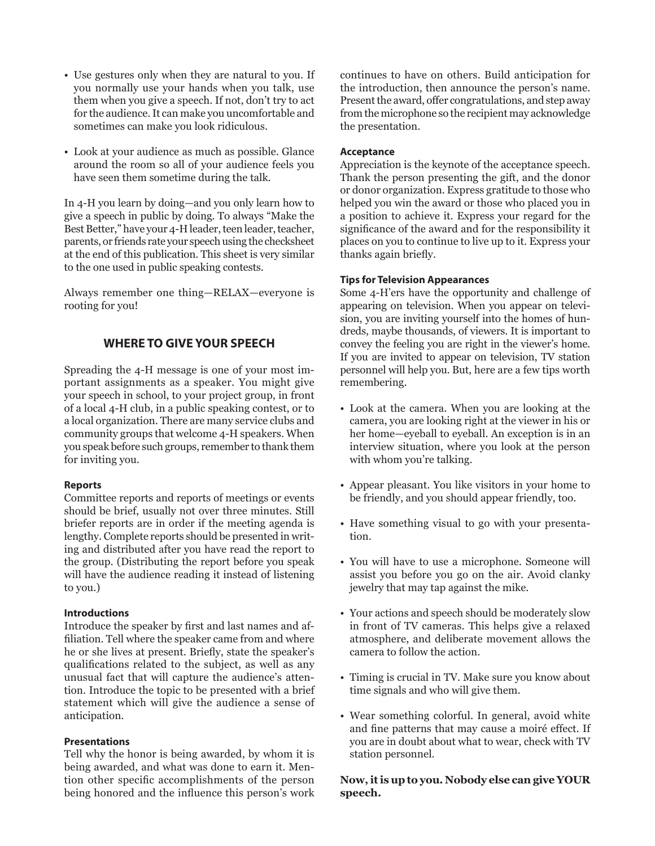- Use gestures only when they are natural to you. If you normally use your hands when you talk, use them when you give a speech. If not, don't try to act for the audience. It can make you uncomfortable and sometimes can make you look ridiculous.
- Look at your audience as much as possible. Glance around the room so all of your audience feels you have seen them sometime during the talk.

In 4-H you learn by doing—and you only learn how to give a speech in public by doing. To always "Make the Best Better," have your 4-H leader, teen leader, teacher, parents, or friends rate your speech using the checksheet at the end of this publication. This sheet is very similar to the one used in public speaking contests.

Always remember one thing—RELAX—everyone is rooting for you!

## **Where To Give Your Speech**

Spreading the 4-H message is one of your most important assignments as a speaker. You might give your speech in school, to your project group, in front of a local 4-H club, in a public speaking contest, or to a local organization. There are many service clubs and community groups that welcome 4-H speakers. When you speak before such groups, remember to thank them for inviting you.

#### **Reports**

Committee reports and reports of meetings or events should be brief, usually not over three minutes. Still briefer reports are in order if the meeting agenda is lengthy. Complete reports should be presented in writing and distributed after you have read the report to the group. (Distributing the report before you speak will have the audience reading it instead of listening to you.)

#### **Introductions**

Introduce the speaker by first and last names and affiliation. Tell where the speaker came from and where he or she lives at present. Briefly, state the speaker's qualifications related to the subject, as well as any unusual fact that will capture the audience's attention. Introduce the topic to be presented with a brief statement which will give the audience a sense of anticipation.

#### **Presentations**

Tell why the honor is being awarded, by whom it is being awarded, and what was done to earn it. Mention other specific accomplishments of the person being honored and the influence this person's work continues to have on others. Build anticipation for the introduction, then announce the person's name. Present the award, offer congratulations, and step away from the microphone so the recipient may acknowledge the presentation.

#### **Acceptance**

Appreciation is the keynote of the acceptance speech. Thank the person presenting the gift, and the donor or donor organization. Express gratitude to those who helped you win the award or those who placed you in a position to achieve it. Express your regard for the significance of the award and for the responsibility it places on you to continue to live up to it. Express your thanks again briefly.

#### **Tips for Television Appearances**

Some 4-H'ers have the opportunity and challenge of appearing on television. When you appear on television, you are inviting yourself into the homes of hundreds, maybe thousands, of viewers. It is important to convey the feeling you are right in the viewer's home. If you are invited to appear on television, TV station personnel will help you. But, here are a few tips worth remembering.

- Look at the camera. When you are looking at the camera, you are looking right at the viewer in his or her home—eyeball to eyeball. An exception is in an interview situation, where you look at the person with whom you're talking.
- Appear pleasant. You like visitors in your home to be friendly, and you should appear friendly, too.
- Have something visual to go with your presentation.
- You will have to use a microphone. Someone will assist you before you go on the air. Avoid clanky jewelry that may tap against the mike.
- Your actions and speech should be moderately slow in front of TV cameras. This helps give a relaxed atmosphere, and deliberate movement allows the camera to follow the action.
- Timing is crucial in TV. Make sure you know about time signals and who will give them.
- Wear something colorful. In general, avoid white and fine patterns that may cause a moiré effect. If you are in doubt about what to wear, check with TV station personnel.

**Now, it is up to you. Nobody else can give YOUR speech.**